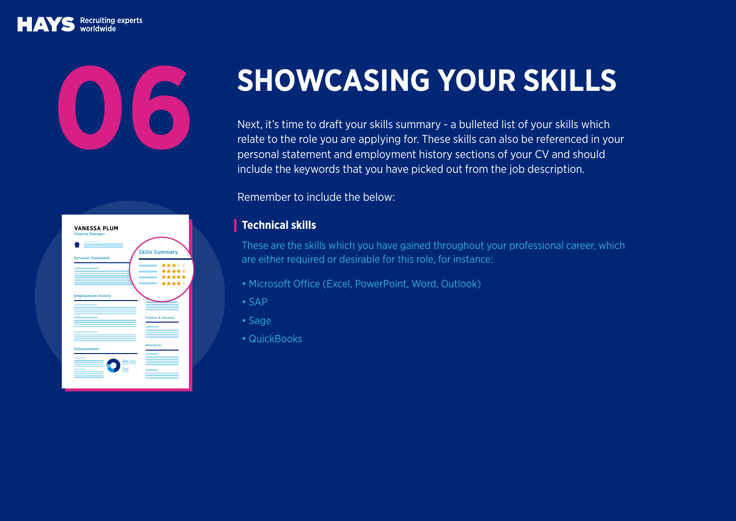Recruiting experts

| <b>VANESSA PLUM</b><br><b>Finance Manager</b><br><b>Personal Statement</b> | <b>Skills Summary</b><br>*****<br>*****<br>*****<br>***** |
|----------------------------------------------------------------------------|-----------------------------------------------------------|
| <b>Employment History</b>                                                  | <b>Hobbies &amp; Interests</b>                            |
| <b>Achievements</b><br>È                                                   | <b>References</b>                                         |

## **SHOWCASING YOUR SKILLS**<br>Next, it's time to draft your skills summary - a bulleted list of your skills which

relate to the role you are applying for. These skills can also be referenced in your personal statement and employment history sections of your CV and should include the keywords that you have picked out from the job description.

Remember to include the below:

## **Technical skills**

These are the skills which you have gained throughout your professional career, which are either required or desirable for this role, for instance:

- Microsoft Office (Excel, PowerPoint, Word, Outlook)
- SAP
- Sage
- QuickBooks